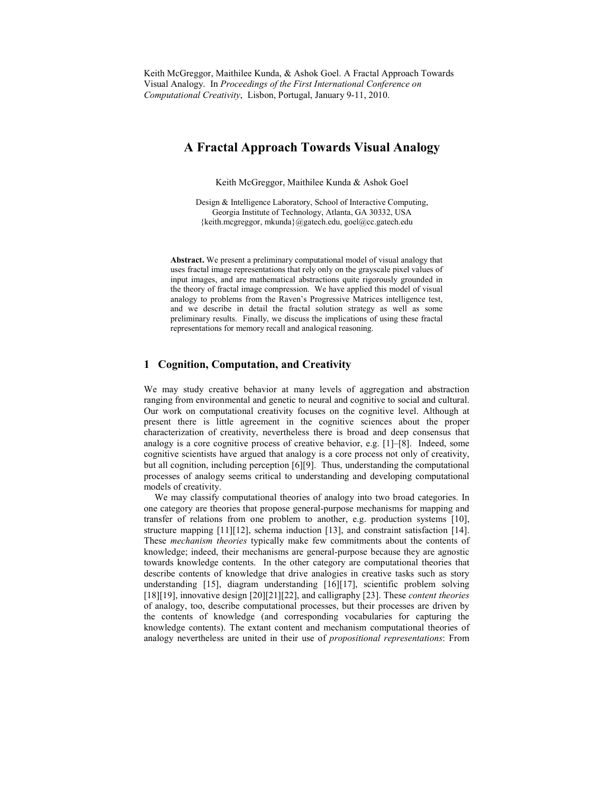Keith McGreggor, Maithilee Kunda, & Ashok Goel. A Fractal Approach Towards Visual Analogy. In Proceedings of the First International Conference on Computational Creativity, Lisbon, Portugal, January 9-11, 2010.

# A Fractal Approach Towards Visual Analogy

Keith McGreggor, Maithilee Kunda & Ashok Goel

Design & Intelligence Laboratory, School of Interactive Computing, Georgia Institute of Technology, Atlanta, GA 30332, USA {keith.mcgreggor, mkunda}@gatech.edu, goel@cc.gatech.edu

Abstract. We present a preliminary computational model of visual analogy that uses fractal image representations that rely only on the grayscale pixel values of input images, and are mathematical abstractions quite rigorously grounded in the theory of fractal image compression. We have applied this model of visual analogy to problems from the Raven's Progressive Matrices intelligence test, and we describe in detail the fractal solution strategy as well as some preliminary results. Finally, we discuss the implications of using these fractal representations for memory recall and analogical reasoning.

# 1 Cognition, Computation, and Creativity

We may study creative behavior at many levels of aggregation and abstraction ranging from environmental and genetic to neural and cognitive to social and cultural. Our work on computational creativity focuses on the cognitive level. Although at present there is little agreement in the cognitive sciences about the proper characterization of creativity, nevertheless there is broad and deep consensus that analogy is a core cognitive process of creative behavior, e.g. [1]–[8]. Indeed, some cognitive scientists have argued that analogy is a core process not only of creativity, but all cognition, including perception [6][9]. Thus, understanding the computational processes of analogy seems critical to understanding and developing computational models of creativity.

We may classify computational theories of analogy into two broad categories. In one category are theories that propose general-purpose mechanisms for mapping and transfer of relations from one problem to another, e.g. production systems [10], structure mapping [11][12], schema induction [13], and constraint satisfaction [14]. These mechanism theories typically make few commitments about the contents of knowledge; indeed, their mechanisms are general-purpose because they are agnostic towards knowledge contents. In the other category are computational theories that describe contents of knowledge that drive analogies in creative tasks such as story understanding [15], diagram understanding [16][17], scientific problem solving [18][19], innovative design [20][21][22], and calligraphy [23]. These *content theories* of analogy, too, describe computational processes, but their processes are driven by the contents of knowledge (and corresponding vocabularies for capturing the knowledge contents). The extant content and mechanism computational theories of analogy nevertheless are united in their use of propositional representations: From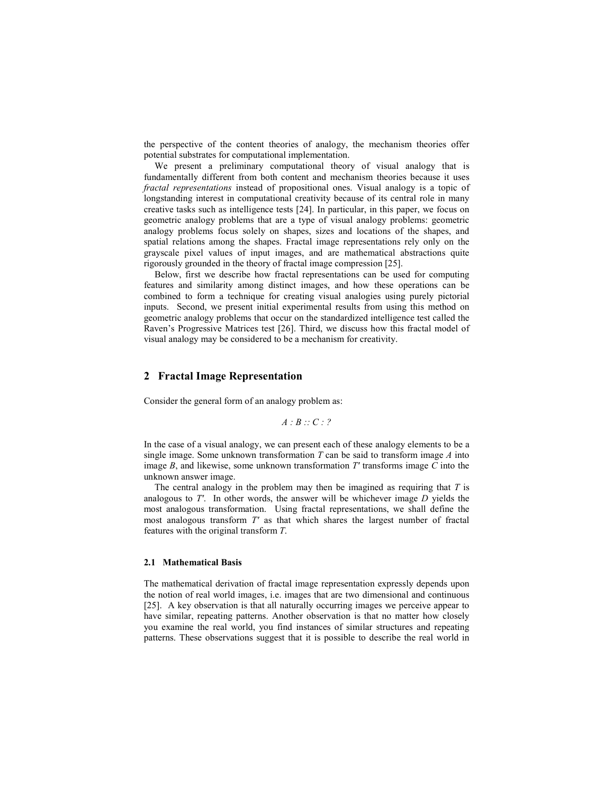the perspective of the content theories of analogy, the mechanism theories offer potential substrates for computational implementation.

We present a preliminary computational theory of visual analogy that is fundamentally different from both content and mechanism theories because it uses fractal representations instead of propositional ones. Visual analogy is a topic of longstanding interest in computational creativity because of its central role in many creative tasks such as intelligence tests [24]. In particular, in this paper, we focus on geometric analogy problems that are a type of visual analogy problems: geometric analogy problems focus solely on shapes, sizes and locations of the shapes, and spatial relations among the shapes. Fractal image representations rely only on the grayscale pixel values of input images, and are mathematical abstractions quite rigorously grounded in the theory of fractal image compression [25].

Below, first we describe how fractal representations can be used for computing features and similarity among distinct images, and how these operations can be combined to form a technique for creating visual analogies using purely pictorial inputs. Second, we present initial experimental results from using this method on geometric analogy problems that occur on the standardized intelligence test called the Raven's Progressive Matrices test [26]. Third, we discuss how this fractal model of visual analogy may be considered to be a mechanism for creativity.

### 2 Fractal Image Representation

Consider the general form of an analogy problem as:

$$
A:B::C:?
$$

In the case of a visual analogy, we can present each of these analogy elements to be a single image. Some unknown transformation  $T$  can be said to transform image  $\Lambda$  into image  $B$ , and likewise, some unknown transformation  $T'$  transforms image  $C$  into the unknown answer image.

The central analogy in the problem may then be imagined as requiring that  $T$  is analogous to  $T'$ . In other words, the answer will be whichever image  $D$  yields the most analogous transformation. Using fractal representations, we shall define the most analogous transform T' as that which shares the largest number of fractal features with the original transform T.

#### 2.1 Mathematical Basis

The mathematical derivation of fractal image representation expressly depends upon the notion of real world images, i.e. images that are two dimensional and continuous [25]. A key observation is that all naturally occurring images we perceive appear to have similar, repeating patterns. Another observation is that no matter how closely you examine the real world, you find instances of similar structures and repeating patterns. These observations suggest that it is possible to describe the real world in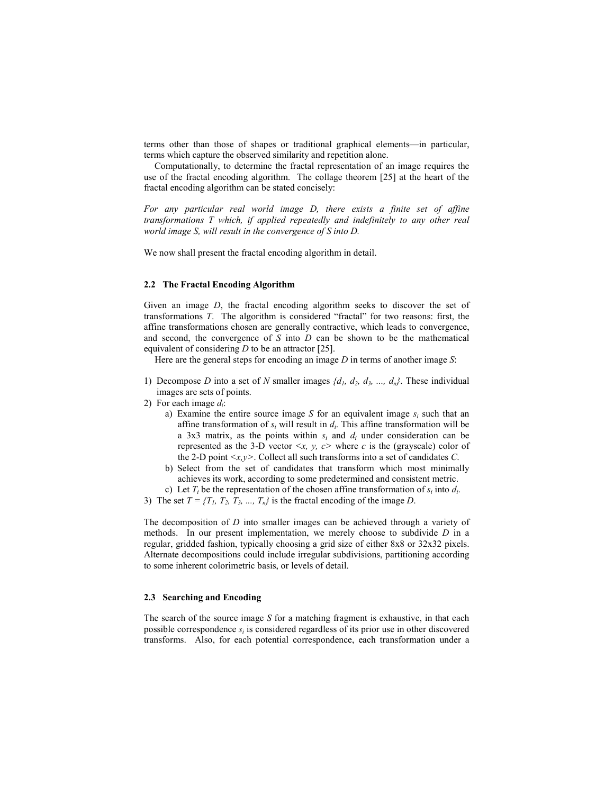terms other than those of shapes or traditional graphical elements—in particular, terms which capture the observed similarity and repetition alone.

Computationally, to determine the fractal representation of an image requires the use of the fractal encoding algorithm. The collage theorem [25] at the heart of the fractal encoding algorithm can be stated concisely:

For any particular real world image D, there exists a finite set of affine transformations T which, if applied repeatedly and indefinitely to any other real world image S, will result in the convergence of S into D.

We now shall present the fractal encoding algorithm in detail.

# 2.2 The Fractal Encoding Algorithm

Given an image D, the fractal encoding algorithm seeks to discover the set of transformations T. The algorithm is considered "fractal" for two reasons: first, the affine transformations chosen are generally contractive, which leads to convergence, and second, the convergence of  $S$  into  $D$  can be shown to be the mathematical equivalent of considering  $D$  to be an attractor [25].

Here are the general steps for encoding an image  $D$  in terms of another image  $S$ :

- 1) Decompose D into a set of N smaller images  $\{d_1, d_2, d_3, ..., d_n\}$ . These individual images are sets of points.
- 2) For each image  $d_i$ :
	- a) Examine the entire source image S for an equivalent image  $s_i$  such that an affine transformation of  $s_i$  will result in  $d_i$ . This affine transformation will be a 3x3 matrix, as the points within  $s_i$  and  $d_i$  under consideration can be represented as the 3-D vector  $\leq x, y, c$  where c is the (grayscale) color of the 2-D point  $\langle x, y \rangle$ . Collect all such transforms into a set of candidates C.
	- b) Select from the set of candidates that transform which most minimally achieves its work, according to some predetermined and consistent metric.
	- c) Let  $T_i$  be the representation of the chosen affine transformation of  $s_i$  into  $d_i$ .
- 3) The set  $T = \{T_1, T_2, T_3, \dots, T_n\}$  is the fractal encoding of the image D.

The decomposition of D into smaller images can be achieved through a variety of methods. In our present implementation, we merely choose to subdivide  $D$  in a regular, gridded fashion, typically choosing a grid size of either 8x8 or 32x32 pixels. Alternate decompositions could include irregular subdivisions, partitioning according to some inherent colorimetric basis, or levels of detail.

### 2.3 Searching and Encoding

The search of the source image  $S$  for a matching fragment is exhaustive, in that each possible correspondence  $s_i$  is considered regardless of its prior use in other discovered transforms. Also, for each potential correspondence, each transformation under a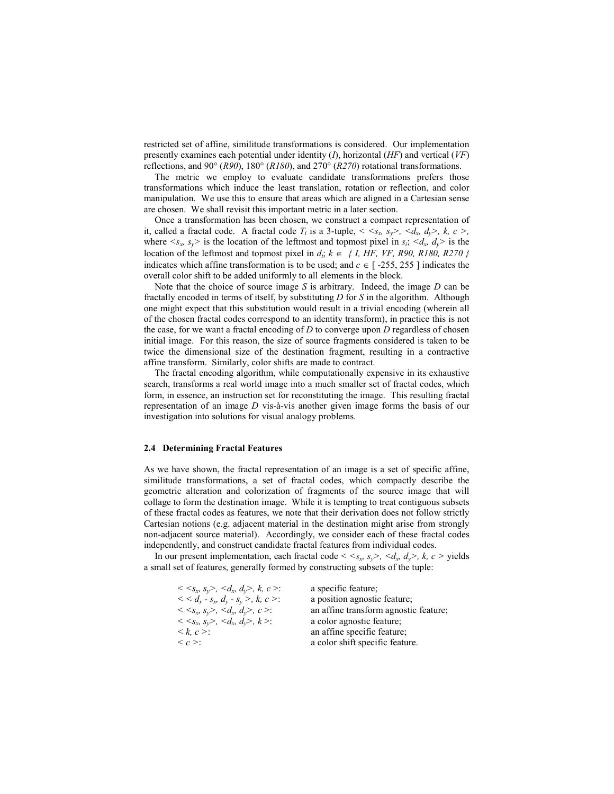restricted set of affine, similitude transformations is considered. Our implementation presently examines each potential under identity  $(I)$ , horizontal  $(HF)$  and vertical  $(VF)$ reflections, and 90° (R90), 180° (R180), and 270° (R270) rotational transformations.

The metric we employ to evaluate candidate transformations prefers those transformations which induce the least translation, rotation or reflection, and color manipulation. We use this to ensure that areas which are aligned in a Cartesian sense are chosen. We shall revisit this important metric in a later section.

Once a transformation has been chosen, we construct a compact representation of it, called a fractal code. A fractal code  $T_i$  is a 3-tuple,  $\langle \langle s_x, s_y \rangle, \langle d_x, d_y \rangle, k, c \rangle$ , where  $\langle s_x, s_y \rangle$  is the location of the leftmost and topmost pixel in  $s_i$ ,  $\langle d_x, d_y \rangle$  is the location of the leftmost and topmost pixel in  $d_i$ ;  $k \in \{I, HF, VF, R90, R180, R270\}$ indicates which affine transformation is to be used; and  $c \in$  [-255, 255 ] indicates the overall color shift to be added uniformly to all elements in the block.

Note that the choice of source image  $S$  is arbitrary. Indeed, the image  $D$  can be fractally encoded in terms of itself, by substituting  $D$  for  $S$  in the algorithm. Although one might expect that this substitution would result in a trivial encoding (wherein all of the chosen fractal codes correspond to an identity transform), in practice this is not the case, for we want a fractal encoding of  $D$  to converge upon  $D$  regardless of chosen initial image. For this reason, the size of source fragments considered is taken to be twice the dimensional size of the destination fragment, resulting in a contractive affine transform. Similarly, color shifts are made to contract.

The fractal encoding algorithm, while computationally expensive in its exhaustive search, transforms a real world image into a much smaller set of fractal codes, which form, in essence, an instruction set for reconstituting the image. This resulting fractal representation of an image D vis-à-vis another given image forms the basis of our investigation into solutions for visual analogy problems.

#### 2.4 Determining Fractal Features

As we have shown, the fractal representation of an image is a set of specific affine, similitude transformations, a set of fractal codes, which compactly describe the geometric alteration and colorization of fragments of the source image that will collage to form the destination image. While it is tempting to treat contiguous subsets of these fractal codes as features, we note that their derivation does not follow strictly Cartesian notions (e.g. adjacent material in the destination might arise from strongly non-adjacent source material). Accordingly, we consider each of these fractal codes independently, and construct candidate fractal features from individual codes.

In our present implementation, each fractal code  $\langle s_x, s_y \rangle$ ,  $\langle d_x, d_y \rangle$ ,  $k, c >$  yields a small set of features, generally formed by constructing subsets of the tuple:

| a specific feature;                   |
|---------------------------------------|
| a position agnostic feature;          |
| an affine transform agnostic feature; |
| a color agnostic feature;             |
| an affine specific feature;           |
| a color shift specific feature.       |
|                                       |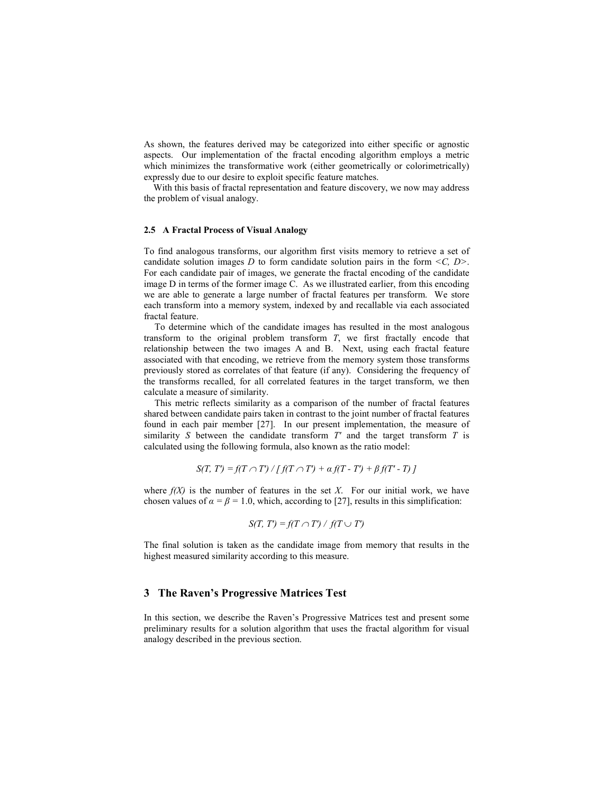As shown, the features derived may be categorized into either specific or agnostic aspects. Our implementation of the fractal encoding algorithm employs a metric which minimizes the transformative work (either geometrically or colorimetrically) expressly due to our desire to exploit specific feature matches.

 With this basis of fractal representation and feature discovery, we now may address the problem of visual analogy.

### 2.5 A Fractal Process of Visual Analogy

To find analogous transforms, our algorithm first visits memory to retrieve a set of candidate solution images D to form candidate solution pairs in the form  $\leq C$ ,  $D$ . For each candidate pair of images, we generate the fractal encoding of the candidate image D in terms of the former image C. As we illustrated earlier, from this encoding we are able to generate a large number of fractal features per transform. We store each transform into a memory system, indexed by and recallable via each associated fractal feature.

To determine which of the candidate images has resulted in the most analogous transform to the original problem transform  $T$ , we first fractally encode that relationship between the two images A and B. Next, using each fractal feature associated with that encoding, we retrieve from the memory system those transforms previously stored as correlates of that feature (if any). Considering the frequency of the transforms recalled, for all correlated features in the target transform, we then calculate a measure of similarity.

This metric reflects similarity as a comparison of the number of fractal features shared between candidate pairs taken in contrast to the joint number of fractal features found in each pair member [27]. In our present implementation, the measure of similarity S between the candidate transform  $T'$  and the target transform  $T$  is calculated using the following formula, also known as the ratio model:

$$
S(T, T') = f(T \cap T') / [f(T \cap T') + \alpha f(T - T') + \beta f(T' - T) ]
$$

where  $f(X)$  is the number of features in the set X. For our initial work, we have chosen values of  $\alpha = \beta = 1.0$ , which, according to [27], results in this simplification:

$$
S(T, T') = f(T \cap T') / f(T \cup T')
$$

The final solution is taken as the candidate image from memory that results in the highest measured similarity according to this measure.

### 3 The Raven's Progressive Matrices Test

In this section, we describe the Raven's Progressive Matrices test and present some preliminary results for a solution algorithm that uses the fractal algorithm for visual analogy described in the previous section.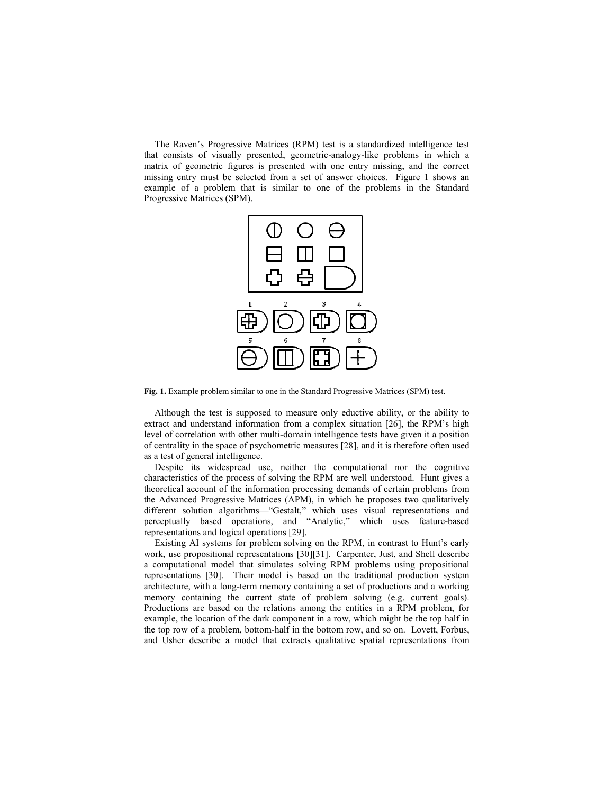The Raven's Progressive Matrices (RPM) test is a standardized intelligence test that consists of visually presented, geometric-analogy-like problems in which a matrix of geometric figures is presented with one entry missing, and the correct missing entry must be selected from a set of answer choices. Figure 1 shows an example of a problem that is similar to one of the problems in the Standard Progressive Matrices (SPM).



Fig. 1. Example problem similar to one in the Standard Progressive Matrices (SPM) test.

Although the test is supposed to measure only eductive ability, or the ability to extract and understand information from a complex situation [26], the RPM's high level of correlation with other multi-domain intelligence tests have given it a position of centrality in the space of psychometric measures [28], and it is therefore often used as a test of general intelligence.

Despite its widespread use, neither the computational nor the cognitive characteristics of the process of solving the RPM are well understood. Hunt gives a theoretical account of the information processing demands of certain problems from the Advanced Progressive Matrices (APM), in which he proposes two qualitatively different solution algorithms—"Gestalt," which uses visual representations and perceptually based operations, and "Analytic," which uses feature-based representations and logical operations [29].

Existing AI systems for problem solving on the RPM, in contrast to Hunt's early work, use propositional representations [30][31]. Carpenter, Just, and Shell describe a computational model that simulates solving RPM problems using propositional representations [30]. Their model is based on the traditional production system architecture, with a long-term memory containing a set of productions and a working memory containing the current state of problem solving (e.g. current goals). Productions are based on the relations among the entities in a RPM problem, for example, the location of the dark component in a row, which might be the top half in the top row of a problem, bottom-half in the bottom row, and so on. Lovett, Forbus, and Usher describe a model that extracts qualitative spatial representations from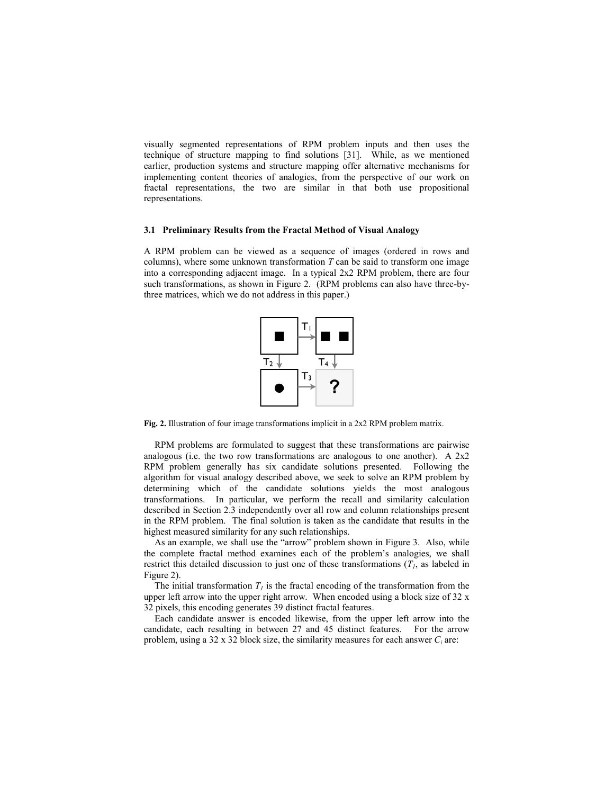visually segmented representations of RPM problem inputs and then uses the technique of structure mapping to find solutions [31]. While, as we mentioned earlier, production systems and structure mapping offer alternative mechanisms for implementing content theories of analogies, from the perspective of our work on fractal representations, the two are similar in that both use propositional representations.

#### 3.1 Preliminary Results from the Fractal Method of Visual Analogy

A RPM problem can be viewed as a sequence of images (ordered in rows and columns), where some unknown transformation  $T$  can be said to transform one image into a corresponding adjacent image. In a typical 2x2 RPM problem, there are four such transformations, as shown in Figure 2. (RPM problems can also have three-bythree matrices, which we do not address in this paper.)



Fig. 2. Illustration of four image transformations implicit in a 2x2 RPM problem matrix.

RPM problems are formulated to suggest that these transformations are pairwise analogous (i.e. the two row transformations are analogous to one another). A 2x2 RPM problem generally has six candidate solutions presented. Following the algorithm for visual analogy described above, we seek to solve an RPM problem by determining which of the candidate solutions yields the most analogous transformations. In particular, we perform the recall and similarity calculation described in Section 2.3 independently over all row and column relationships present in the RPM problem. The final solution is taken as the candidate that results in the highest measured similarity for any such relationships.

As an example, we shall use the "arrow" problem shown in Figure 3. Also, while the complete fractal method examines each of the problem's analogies, we shall restrict this detailed discussion to just one of these transformations  $(T<sub>1</sub>)$ , as labeled in Figure 2).

The initial transformation  $T_1$  is the fractal encoding of the transformation from the upper left arrow into the upper right arrow. When encoded using a block size of 32 x 32 pixels, this encoding generates 39 distinct fractal features.

Each candidate answer is encoded likewise, from the upper left arrow into the candidate, each resulting in between 27 and 45 distinct features. For the arrow problem, using a 32 x 32 block size, the similarity measures for each answer  $C_i$  are: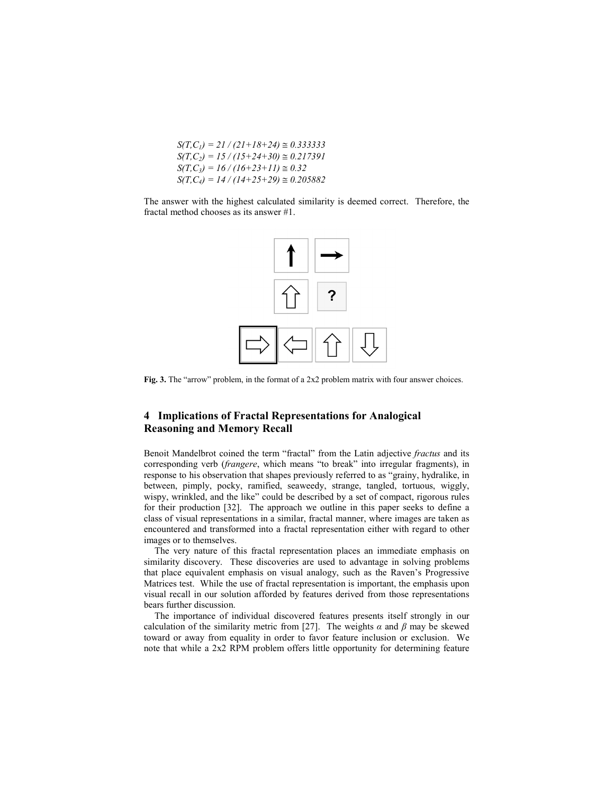$$
S(T, C_1) = 21 / (21 + 18 + 24) \approx 0.333333
$$
  
\n
$$
S(T, C_2) = 15 / (15 + 24 + 30) \approx 0.217391
$$
  
\n
$$
S(T, C_3) = 16 / (16 + 23 + 11) \approx 0.32
$$
  
\n
$$
S(T, C_4) = 14 / (14 + 25 + 29) \approx 0.205882
$$

The answer with the highest calculated similarity is deemed correct. Therefore, the fractal method chooses as its answer #1.



Fig. 3. The "arrow" problem, in the format of a 2x2 problem matrix with four answer choices.

# 4 Implications of Fractal Representations for Analogical Reasoning and Memory Recall

Benoit Mandelbrot coined the term "fractal" from the Latin adjective fractus and its corresponding verb (frangere, which means "to break" into irregular fragments), in response to his observation that shapes previously referred to as "grainy, hydralike, in between, pimply, pocky, ramified, seaweedy, strange, tangled, tortuous, wiggly, wispy, wrinkled, and the like" could be described by a set of compact, rigorous rules for their production [32]. The approach we outline in this paper seeks to define a class of visual representations in a similar, fractal manner, where images are taken as encountered and transformed into a fractal representation either with regard to other images or to themselves.

The very nature of this fractal representation places an immediate emphasis on similarity discovery. These discoveries are used to advantage in solving problems that place equivalent emphasis on visual analogy, such as the Raven's Progressive Matrices test. While the use of fractal representation is important, the emphasis upon visual recall in our solution afforded by features derived from those representations bears further discussion.

The importance of individual discovered features presents itself strongly in our calculation of the similarity metric from [27]. The weights  $\alpha$  and  $\beta$  may be skewed toward or away from equality in order to favor feature inclusion or exclusion. We note that while a 2x2 RPM problem offers little opportunity for determining feature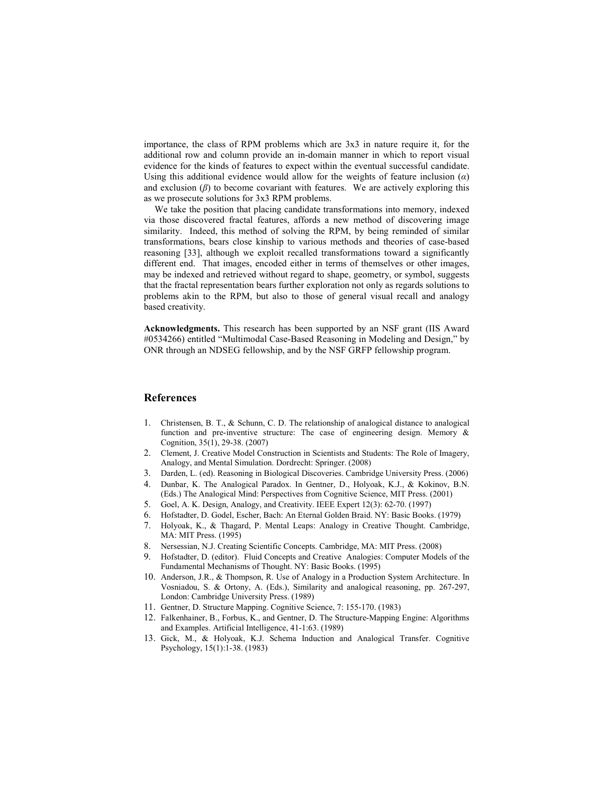importance, the class of RPM problems which are 3x3 in nature require it, for the additional row and column provide an in-domain manner in which to report visual evidence for the kinds of features to expect within the eventual successful candidate. Using this additional evidence would allow for the weights of feature inclusion  $(a)$ and exclusion  $(\beta)$  to become covariant with features. We are actively exploring this as we prosecute solutions for 3x3 RPM problems.

We take the position that placing candidate transformations into memory, indexed via those discovered fractal features, affords a new method of discovering image similarity. Indeed, this method of solving the RPM, by being reminded of similar transformations, bears close kinship to various methods and theories of case-based reasoning [33], although we exploit recalled transformations toward a significantly different end. That images, encoded either in terms of themselves or other images, may be indexed and retrieved without regard to shape, geometry, or symbol, suggests that the fractal representation bears further exploration not only as regards solutions to problems akin to the RPM, but also to those of general visual recall and analogy based creativity.

Acknowledgments. This research has been supported by an NSF grant (IIS Award #0534266) entitled "Multimodal Case-Based Reasoning in Modeling and Design," by ONR through an NDSEG fellowship, and by the NSF GRFP fellowship program.

## References

- 1. Christensen, B. T., & Schunn, C. D. The relationship of analogical distance to analogical function and pre-inventive structure: The case of engineering design. Memory & Cognition, 35(1), 29-38. (2007)
- 2. Clement, J. Creative Model Construction in Scientists and Students: The Role of Imagery, Analogy, and Mental Simulation. Dordrecht: Springer. (2008)
- 3. Darden, L. (ed). Reasoning in Biological Discoveries. Cambridge University Press. (2006)
- 4. Dunbar, K. The Analogical Paradox. In Gentner, D., Holyoak, K.J., & Kokinov, B.N. (Eds.) The Analogical Mind: Perspectives from Cognitive Science, MIT Press. (2001)
- 5. Goel, A. K. Design, Analogy, and Creativity. IEEE Expert 12(3): 62-70. (1997)
- 6. Hofstadter, D. Godel, Escher, Bach: An Eternal Golden Braid. NY: Basic Books. (1979)
- 7. Holyoak, K., & Thagard, P. Mental Leaps: Analogy in Creative Thought. Cambridge, MA: MIT Press. (1995)
- 8. Nersessian, N.J. Creating Scientific Concepts. Cambridge, MA: MIT Press. (2008)<br>9. Hofstadter. D. (editor). Fluid Concepts and Creative Analogies: Computer Model
- 9. Hofstadter, D. (editor). Fluid Concepts and Creative Analogies: Computer Models of the Fundamental Mechanisms of Thought. NY: Basic Books. (1995)
- 10. Anderson, J.R., & Thompson, R. Use of Analogy in a Production System Architecture. In Vosniadou, S. & Ortony, A. (Eds.), Similarity and analogical reasoning, pp. 267-297, London: Cambridge University Press. (1989)
- 11. Gentner, D. Structure Mapping. Cognitive Science, 7: 155-170. (1983)
- 12. Falkenhainer, B., Forbus, K., and Gentner, D. The Structure-Mapping Engine: Algorithms and Examples. Artificial Intelligence, 41-1:63. (1989)
- 13. Gick, M., & Holyoak, K.J. Schema Induction and Analogical Transfer. Cognitive Psychology, 15(1):1-38. (1983)